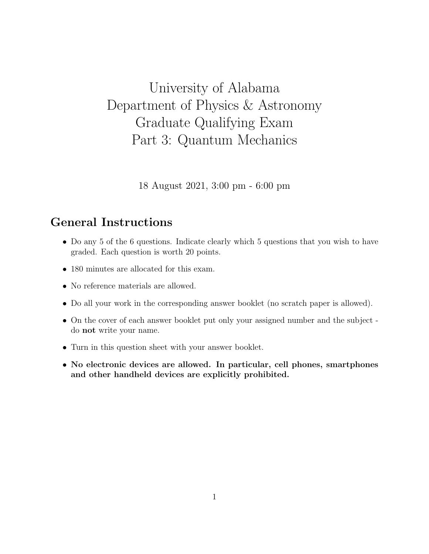## University of Alabama Department of Physics & Astronomy Graduate Qualifying Exam Part 3: Quantum Mechanics

18 August 2021, 3:00 pm - 6:00 pm

## General Instructions

- Do any 5 of the 6 questions. Indicate clearly which 5 questions that you wish to have graded. Each question is worth 20 points.
- 180 minutes are allocated for this exam.
- No reference materials are allowed.
- Do all your work in the corresponding answer booklet (no scratch paper is allowed).
- On the cover of each answer booklet put only your assigned number and the subject do not write your name.
- Turn in this question sheet with your answer booklet.
- No electronic devices are allowed. In particular, cell phones, smartphones and other handheld devices are explicitly prohibited.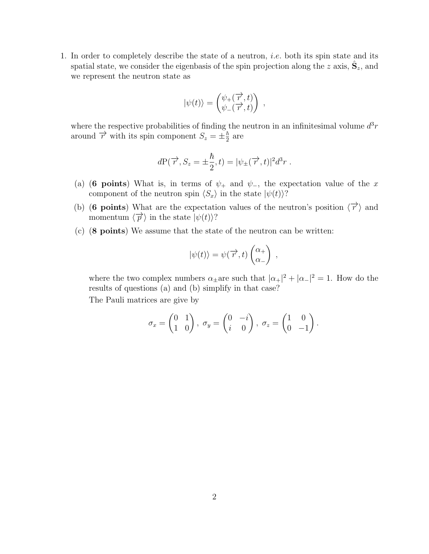1. In order to completely describe the state of a neutron, i.e. both its spin state and its spatial state, we consider the eigenbasis of the spin projection along the z axis,  $\hat{S}_z$ , and we represent the neutron state as

$$
|\psi(t)\rangle = \begin{pmatrix} \psi_+(\overrightarrow{r},t) \\ \psi_-(\overrightarrow{r},t) \end{pmatrix}
$$

,

where the respective probabilities of finding the neutron in an infinitesimal volume  $d^3r$ around  $\overrightarrow{r}$  with its spin component  $S_z = \pm \frac{\hbar}{2}$  $\frac{\hbar}{2}$  are

$$
dP(\overrightarrow{r}, S_z = \pm \frac{\hbar}{2}, t) = |\psi_{\pm}(\overrightarrow{r}, t)|^2 d^3 r.
$$

- (a) (6 points) What is, in terms of  $\psi_+$  and  $\psi_-,$  the expectation value of the x component of the neutron spin  $\langle S_x \rangle$  in the state  $|\psi(t)\rangle$ ?
- (b) (6 points) What are the expectation values of the neutron's position  $\langle \overrightarrow{r} \rangle$  and momentum  $\langle \overrightarrow{p} \rangle$  in the state  $|\psi(t)\rangle$ ?
- (c) (8 points) We assume that the state of the neutron can be written:

$$
|\psi(t)\rangle = \psi(\overrightarrow{r},t)\begin{pmatrix} \alpha_+\\ \alpha_- \end{pmatrix} ,
$$

where the two complex numbers  $\alpha_{\pm}$  are such that  $|\alpha_{+}|^2 + |\alpha_{-}|^2 = 1$ . How do the results of questions (a) and (b) simplify in that case?

The Pauli matrices are give by

$$
\sigma_x = \begin{pmatrix} 0 & 1 \\ 1 & 0 \end{pmatrix}, \ \sigma_y = \begin{pmatrix} 0 & -i \\ i & 0 \end{pmatrix}, \ \sigma_z = \begin{pmatrix} 1 & 0 \\ 0 & -1 \end{pmatrix}.
$$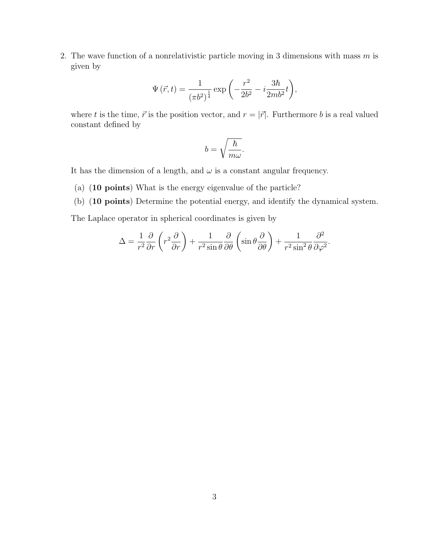2. The wave function of a nonrelativistic particle moving in 3 dimensions with mass  $m$  is given by

$$
\Psi(\vec{r},t) = \frac{1}{(\pi b^2)^{\frac{1}{4}}} \exp\left(-\frac{r^2}{2b^2} - i\frac{3\hbar}{2mb^2}t\right),\,
$$

where t is the time,  $\vec{r}$  is the position vector, and  $r = |\vec{r}|$ . Furthermore b is a real valued constant defined by

$$
b=\sqrt{\frac{\hbar}{m\omega}}.
$$

It has the dimension of a length, and  $\omega$  is a constant angular frequency.

- (a) (10 points) What is the energy eigenvalue of the particle?
- (b) (10 points) Determine the potential energy, and identify the dynamical system.

The Laplace operator in spherical coordinates is given by

$$
\Delta = \frac{1}{r^2} \frac{\partial}{\partial r} \left( r^2 \frac{\partial}{\partial r} \right) + \frac{1}{r^2 \sin \theta} \frac{\partial}{\partial \theta} \left( \sin \theta \frac{\partial}{\partial \theta} \right) + \frac{1}{r^2 \sin^2 \theta} \frac{\partial^2}{\partial \varphi^2}.
$$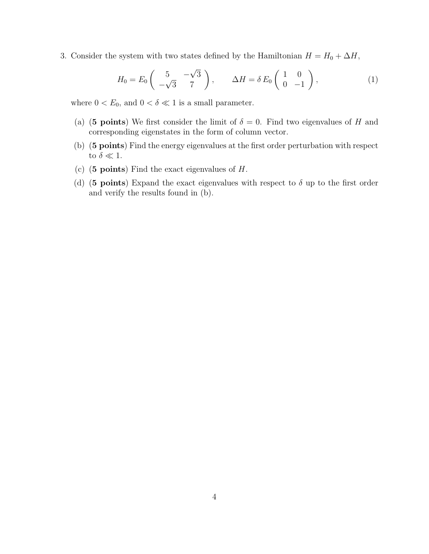3. Consider the system with two states defined by the Hamiltonian  $H = H_0 + \Delta H$ ,

$$
H_0 = E_0 \begin{pmatrix} 5 & -\sqrt{3} \\ -\sqrt{3} & 7 \end{pmatrix}, \qquad \Delta H = \delta E_0 \begin{pmatrix} 1 & 0 \\ 0 & -1 \end{pmatrix}, \tag{1}
$$

where  $0 < E_0$ , and  $0 < \delta \ll 1$  is a small parameter.

- (a) (5 points) We first consider the limit of  $\delta = 0$ . Find two eigenvalues of H and corresponding eigenstates in the form of column vector.
- (b) (5 points) Find the energy eigenvalues at the first order perturbation with respect to  $\delta \ll 1$ .
- (c) (5 points) Find the exact eigenvalues of  $H$ .
- (d) (5 points) Expand the exact eigenvalues with respect to  $\delta$  up to the first order and verify the results found in (b).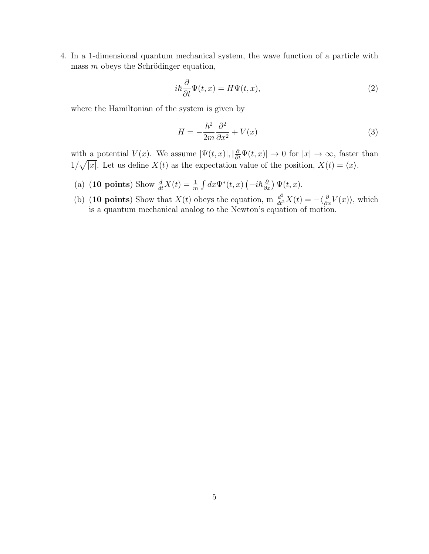4. In a 1-dimensional quantum mechanical system, the wave function of a particle with mass  $m$  obeys the Schrödinger equation,

$$
i\hbar \frac{\partial}{\partial t} \Psi(t, x) = H \Psi(t, x), \qquad (2)
$$

where the Hamiltonian of the system is given by

$$
H = -\frac{\hbar^2}{2m}\frac{\partial^2}{\partial x^2} + V(x) \tag{3}
$$

with a potential  $V(x)$ . We assume  $|\Psi(t,x)|, |\frac{\partial}{\partial t}\Psi(t,x)| \to 0$  for  $|x| \to \infty$ , faster than  $1/\sqrt{|x|}$ . Let us define  $X(t)$  as the expectation value of the position,  $X(t) = \langle x \rangle$ .

- (a) (10 points) Show  $\frac{d}{dt}X(t) = \frac{1}{m} \int dx \Psi^*(t, x) \left(-i\hbar \frac{\partial}{\partial x}\right) \Psi(t, x)$ .
- (b) (10 points) Show that  $X(t)$  obeys the equation, m  $\frac{d^2}{dt^2}X(t) = -\langle \frac{\partial}{\partial x}V(x) \rangle$ , which is a quantum mechanical analog to the Newton's equation of motion.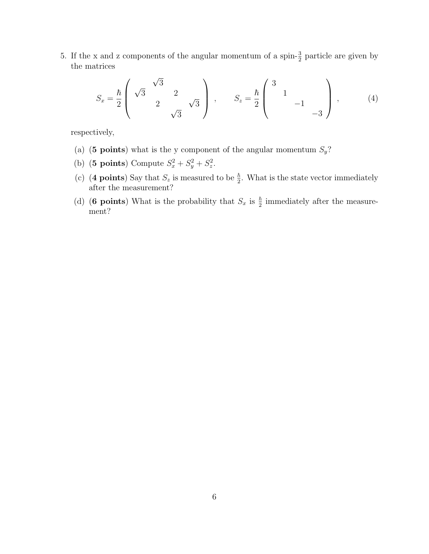5. If the x and z components of the angular momentum of a spin- $\frac{3}{2}$  particle are given by the matrices

$$
S_x = \frac{\hbar}{2} \begin{pmatrix} \sqrt{3} & \sqrt{3} \\ 2 & 2 \\ 0 & \sqrt{3} \end{pmatrix}, \qquad S_z = \frac{\hbar}{2} \begin{pmatrix} 3 & 0 & 0 \\ 0 & 1 & 0 \\ 0 & -3 & 0 \end{pmatrix}, \qquad (4)
$$

respectively,

- (a) (5 points) what is the y component of the angular momentum  $S_y$ ?
- (b) (**5 points**) Compute  $S_x^2 + S_y^2 + S_z^2$ .
- (c) (4 points) Say that  $S_z$  is measured to be  $\frac{\hbar}{2}$ . What is the state vector immediately after the measurement?
- (d) (6 points) What is the probability that  $S_x$  is  $\frac{\hbar}{2}$  immediately after the measurement?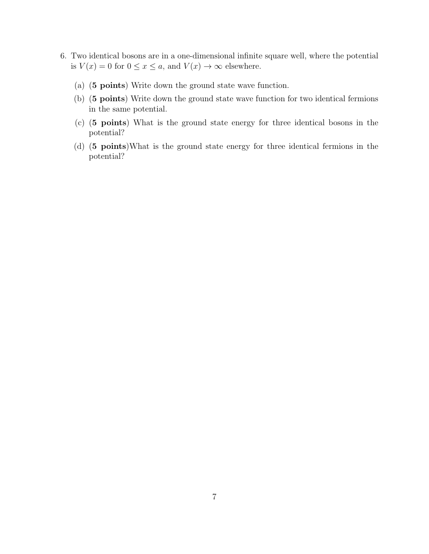- 6. Two identical bosons are in a one-dimensional infinite square well, where the potential is  $V(x) = 0$  for  $0 \le x \le a$ , and  $V(x) \to \infty$  elsewhere.
	- (a) (5 points) Write down the ground state wave function.
	- (b) (5 points) Write down the ground state wave function for two identical fermions in the same potential.
	- (c) (5 points) What is the ground state energy for three identical bosons in the potential?
	- (d) (5 points)What is the ground state energy for three identical fermions in the potential?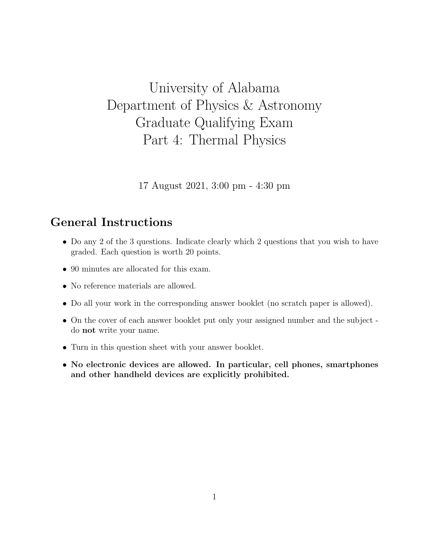## University of Alabama Department of Physics & Astronomy Graduate Qualifying Exam Part 4: Thermal Physics

17 August 2021, 3:00 pm - 4:30 pm

## General Instructions

- Do any 2 of the 3 questions. Indicate clearly which 2 questions that you wish to have graded. Each question is worth 20 points.
- 90 minutes are allocated for this exam.
- No reference materials are allowed.
- Do all your work in the corresponding answer booklet (no scratch paper is allowed).
- On the cover of each answer booklet put only your assigned number and the subject do not write your name.
- Turn in this question sheet with your answer booklet.
- No electronic devices are allowed. In particular, cell phones, smartphones and other handheld devices are explicitly prohibited.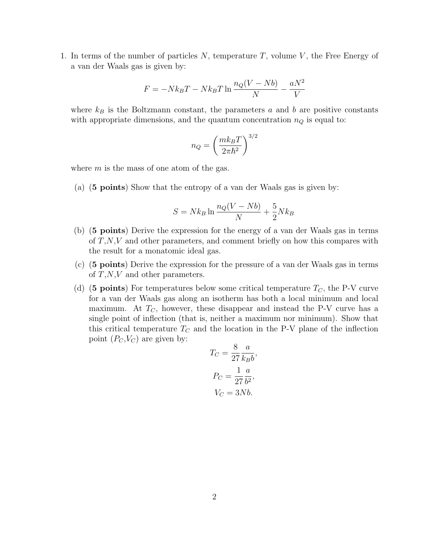1. In terms of the number of particles  $N$ , temperature  $T$ , volume  $V$ , the Free Energy of a van der Waals gas is given by:

$$
F = -Nk_BT - Nk_BT \ln \frac{n_Q(V - Nb)}{N} - \frac{aN^2}{V}
$$

where  $k_B$  is the Boltzmann constant, the parameters a and b are positive constants with appropriate dimensions, and the quantum concentration  $n_Q$  is equal to:

$$
n_Q = \left(\frac{mk_B T}{2\pi\hbar^2}\right)^{3/2}
$$

where  $m$  is the mass of one atom of the gas.

(a) (5 points) Show that the entropy of a van der Waals gas is given by:

$$
S = Nk_B \ln \frac{n_Q(V - Nb)}{N} + \frac{5}{2} Nk_B
$$

- (b) (5 points) Derive the expression for the energy of a van der Waals gas in terms of  $T, N, V$  and other parameters, and comment briefly on how this compares with the result for a monatomic ideal gas.
- (c) (5 points) Derive the expression for the pressure of a van der Waals gas in terms of  $T, N, V$  and other parameters.
- (d) (5 points) For temperatures below some critical temperature  $T_C$ , the P-V curve for a van der Waals gas along an isotherm has both a local minimum and local maximum. At  $T_c$ , however, these disappear and instead the P-V curve has a single point of inflection (that is, neither a maximum nor minimum). Show that this critical temperature  $T_C$  and the location in the P-V plane of the inflection point  $(P_C, V_C)$  are given by:

$$
T_C = \frac{8}{27} \frac{a}{k_B b},
$$

$$
P_C = \frac{1}{27} \frac{a}{b^2},
$$

$$
V_C = 3Nb.
$$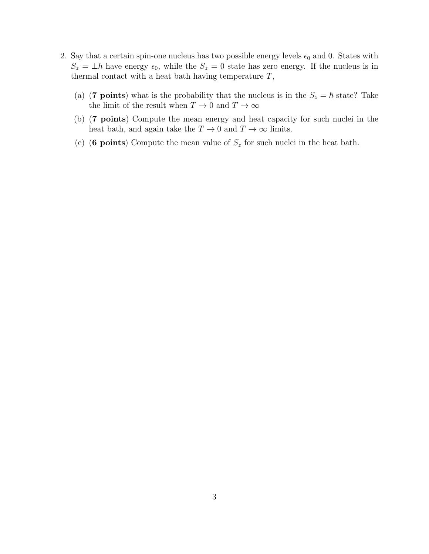- 2. Say that a certain spin-one nucleus has two possible energy levels  $\epsilon_0$  and 0. States with  $S_z = \pm \hbar$  have energy  $\epsilon_0$ , while the  $S_z = 0$  state has zero energy. If the nucleus is in thermal contact with a heat bath having temperature  $T$ ,
	- (a) (7 points) what is the probability that the nucleus is in the  $S_z = \hbar$  state? Take the limit of the result when  $T\rightarrow 0$  and  $T\rightarrow \infty$
	- (b) (7 points) Compute the mean energy and heat capacity for such nuclei in the heat bath, and again take the  $T \to 0$  and  $T \to \infty$  limits.
	- (c) (6 points) Compute the mean value of  $S_z$  for such nuclei in the heat bath.